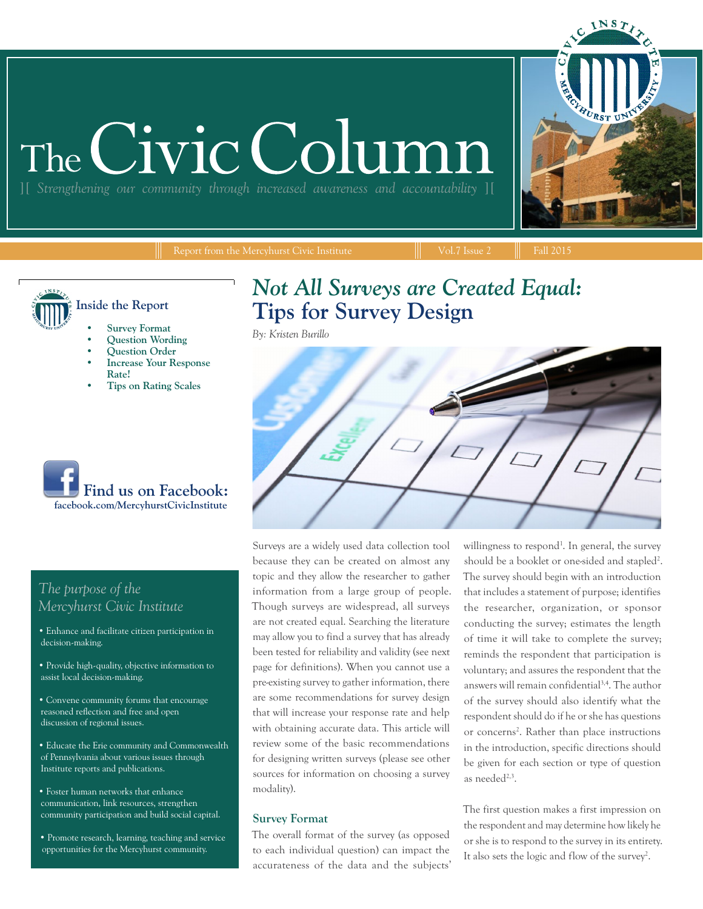# The Civic Colu

][ *Strengthening our community through increased awareness and accountability* ][

Report from the Mercyhurst Civic Institute  $\|\cdot\|$  Vol.7 Issue 2  $\|\cdot\|$  Fall 2015

**Inside the Report**

- **• Survey Format**
- **• Question Wording**
- **• Question Order**
- **• Increase Your Response Rate!**
- **• Tips on Rating Scales**

# **facebook.com/MercyhurstCivicInstitute Find us on Facebook:**

#### *The purpose of the Mercyhurst Civic Institute*

- Enhance and facilitate citizen participation in decision-making.
- Provide high-quality, objective information to assist local decision-making.
- Convene community forums that encourage reasoned reflection and free and open discussion of regional issues.
- Educate the Erie community and Commonwealth of Pennsylvania about various issues through Institute reports and publications.
- Foster human networks that enhance communication, link resources, strengthen community participation and build social capital.
- Promote research, learning, teaching and service opportunities for the Mercyhurst community.

## *Not All Surveys are Created Equal:* **Tips for Survey Design**

*By: Kristen Burillo*



Surveys are a widely used data collection tool because they can be created on almost any topic and they allow the researcher to gather information from a large group of people. Though surveys are widespread, all surveys are not created equal. Searching the literature may allow you to find a survey that has already been tested for reliability and validity (see next page for definitions). When you cannot use a pre-existing survey to gather information, there are some recommendations for survey design that will increase your response rate and help with obtaining accurate data. This article will review some of the basic recommendations for designing written surveys (please see other sources for information on choosing a survey modality).

#### **Survey Format**

The overall format of the survey (as opposed to each individual question) can impact the accurateness of the data and the subjects'

willingness to respond<sup>1</sup>. In general, the survey should be a booklet or one-sided and stapled<sup>2</sup>. The survey should begin with an introduction that includes a statement of purpose; identifies the researcher, organization, or sponsor conducting the survey; estimates the length of time it will take to complete the survey; reminds the respondent that participation is voluntary; and assures the respondent that the answers will remain confidential3,4. The author of the survey should also identify what the respondent should do if he or she has questions or concerns<sup>2</sup>. Rather than place instructions in the introduction, specific directions should be given for each section or type of question as needed $2,3$ .

The first question makes a first impression on the respondent and may determine how likely he or she is to respond to the survey in its entirety. It also sets the logic and flow of the survey<sup>2</sup>.

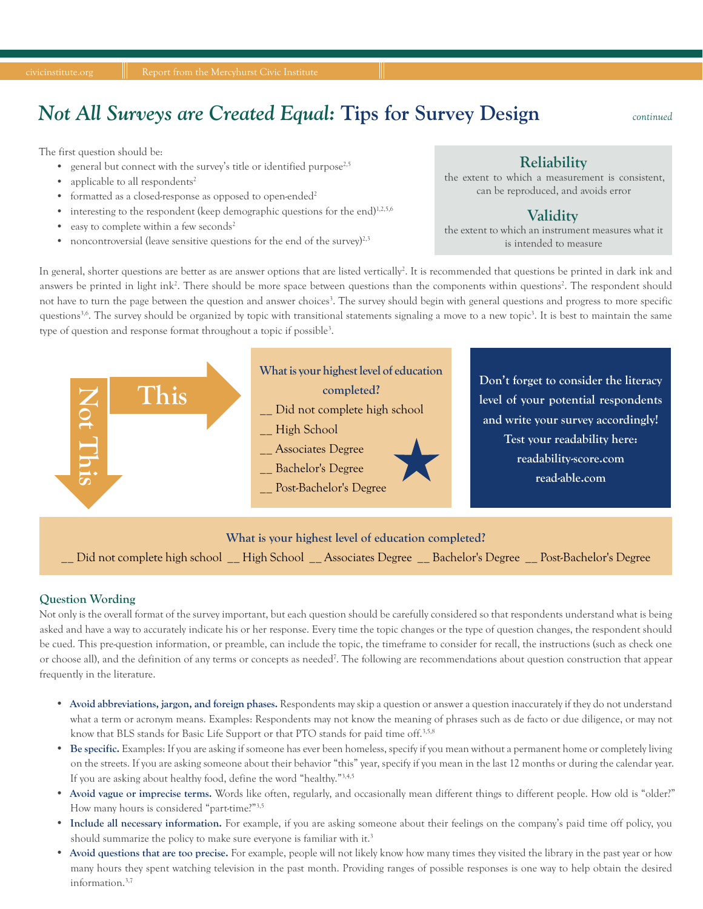## *Not All Surveys are Created Equal:* **Tips for Survey Design** *continued*

The first question should be:

- general but connect with the survey's title or identified purpose<sup>2,5</sup>
- applicable to all respondents<sup>2</sup>
- formatted as a closed-response as opposed to open-ended<sup>2</sup>
- interesting to the respondent (keep demographic questions for the end)<sup>1,2,5,6</sup>
- easy to complete within a few seconds<sup>2</sup>
- noncontroversial (leave sensitive questions for the end of the survey) $2,3$

#### **Reliability**

the extent to which a measurement is consistent, can be reproduced, and avoids error

#### **Validity**

the extent to which an instrument measures what it is intended to measure

In general, shorter questions are better as are answer options that are listed vertically<sup>2</sup>. It is recommended that questions be printed in dark ink and answers be printed in light ink<sup>2</sup>. There should be more space between questions than the components within questions<sup>2</sup>. The respondent should not have to turn the page between the question and answer choices<sup>3</sup>. The survey should begin with general questions and progress to more specific questions<sup>3,6</sup>. The survey should be organized by topic with transitional statements signaling a move to a new topic<sup>3</sup>. It is best to maintain the same type of question and response format throughout a topic if possible<sup>3</sup>.



#### **Question Wording**

Not only is the overall format of the survey important, but each question should be carefully considered so that respondents understand what is being asked and have a way to accurately indicate his or her response. Every time the topic changes or the type of question changes, the respondent should be cued. This pre-question information, or preamble, can include the topic, the timeframe to consider for recall, the instructions (such as check one or choose all), and the definition of any terms or concepts as needed<sup>7</sup>. The following are recommendations about question construction that appear frequently in the literature.

- **Avoid abbreviations, jargon, and foreign phases.** Respondents may skip a question or answer a question inaccurately if they do not understand what a term or acronym means. Examples: Respondents may not know the meaning of phrases such as de facto or due diligence, or may not know that BLS stands for Basic Life Support or that PTO stands for paid time off.<sup>3,5,8</sup>
- **Be specific.** Examples: If you are asking if someone has ever been homeless, specify if you mean without a permanent home or completely living on the streets. If you are asking someone about their behavior "this" year, specify if you mean in the last 12 months or during the calendar year. If you are asking about healthy food, define the word "healthy."3,4,5
- **Avoid vague or imprecise terms.** Words like often, regularly, and occasionally mean different things to different people. How old is "older?" How many hours is considered "part-time?"3,5
- **Include all necessary information.** For example, if you are asking someone about their feelings on the company's paid time off policy, you should summarize the policy to make sure everyone is familiar with it.<sup>3</sup>
- **Avoid questions that are too precise.** For example, people will not likely know how many times they visited the library in the past year or how many hours they spent watching television in the past month. Providing ranges of possible responses is one way to help obtain the desired information.3,7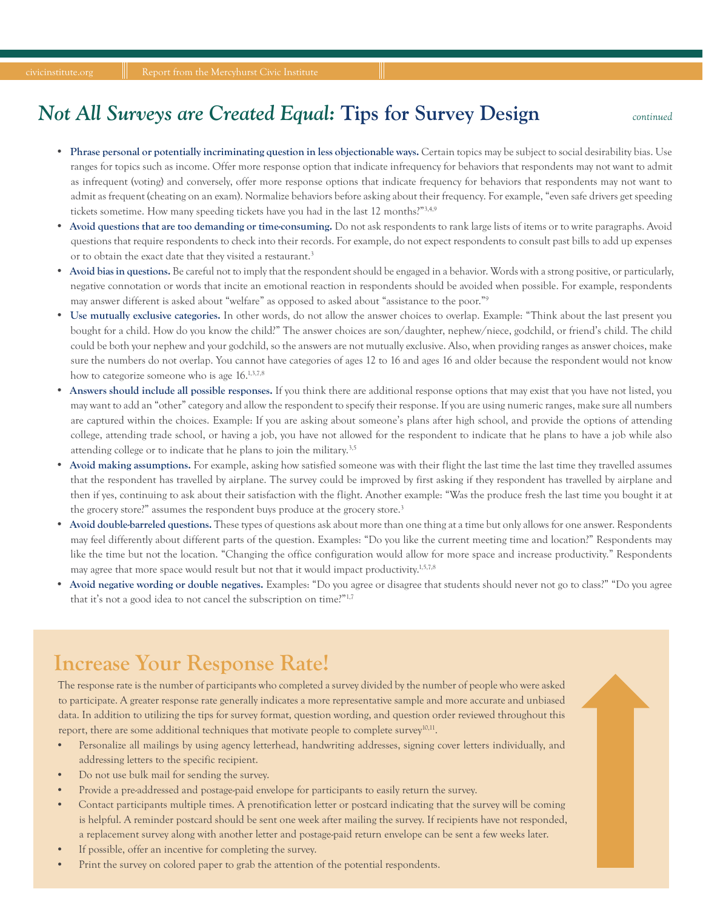## *Not All Surveys are Created Equal:* **Tips for Survey Design** *continued*

- **Phrase personal or potentially incriminating question in less objectionable ways.** Certain topics may be subject to social desirability bias. Use ranges for topics such as income. Offer more response option that indicate infrequency for behaviors that respondents may not want to admit as infrequent (voting) and conversely, offer more response options that indicate frequency for behaviors that respondents may not want to admit as frequent (cheating on an exam). Normalize behaviors before asking about their frequency. For example, "even safe drivers get speeding tickets sometime. How many speeding tickets have you had in the last 12 months?"3,4,9
- **Avoid questions that are too demanding or time-consuming.** Do not ask respondents to rank large lists of items or to write paragraphs. Avoid questions that require respondents to check into their records. For example, do not expect respondents to consult past bills to add up expenses or to obtain the exact date that they visited a restaurant.<sup>3</sup>
- **Avoid bias in questions.** Be careful not to imply that the respondent should be engaged in a behavior. Words with a strong positive, or particularly, negative connotation or words that incite an emotional reaction in respondents should be avoided when possible. For example, respondents may answer different is asked about "welfare" as opposed to asked about "assistance to the poor."9
- **Use mutually exclusive categories.** In other words, do not allow the answer choices to overlap. Example: "Think about the last present you bought for a child. How do you know the child?" The answer choices are son/daughter, nephew/niece, godchild, or friend's child. The child could be both your nephew and your godchild, so the answers are not mutually exclusive. Also, when providing ranges as answer choices, make sure the numbers do not overlap. You cannot have categories of ages 12 to 16 and ages 16 and older because the respondent would not know how to categorize someone who is age 16.<sup>1,3,7,8</sup>
- **Answers should include all possible responses.** If you think there are additional response options that may exist that you have not listed, you may want to add an "other" category and allow the respondent to specify their response. If you are using numeric ranges, make sure all numbers are captured within the choices. Example: If you are asking about someone's plans after high school, and provide the options of attending college, attending trade school, or having a job, you have not allowed for the respondent to indicate that he plans to have a job while also attending college or to indicate that he plans to join the military.<sup>3,5</sup>
- **Avoid making assumptions.** For example, asking how satisfied someone was with their flight the last time the last time they travelled assumes that the respondent has travelled by airplane. The survey could be improved by first asking if they respondent has travelled by airplane and then if yes, continuing to ask about their satisfaction with the flight. Another example: "Was the produce fresh the last time you bought it at the grocery store?" assumes the respondent buys produce at the grocery store.<sup>3</sup>
- **Avoid double-barreled questions.** These types of questions ask about more than one thing at a time but only allows for one answer. Respondents may feel differently about different parts of the question. Examples: "Do you like the current meeting time and location?" Respondents may like the time but not the location. "Changing the office configuration would allow for more space and increase productivity." Respondents may agree that more space would result but not that it would impact productivity.<sup>1,5,7,8</sup>
- **Avoid negative wording or double negatives.** Examples: "Do you agree or disagree that students should never not go to class?" "Do you agree that it's not a good idea to not cancel the subscription on time?"<sup>1,7</sup>

## **Increase Your Response Rate!**

The response rate is the number of participants who completed a survey divided by the number of people who were asked to participate. A greater response rate generally indicates a more representative sample and more accurate and unbiased data. In addition to utilizing the tips for survey format, question wording, and question order reviewed throughout this report, there are some additional techniques that motivate people to complete survey<sup>10,11</sup>.

- Personalize all mailings by using agency letterhead, handwriting addresses, signing cover letters individually, and addressing letters to the specific recipient.
- Do not use bulk mail for sending the survey.
- Provide a pre-addressed and postage-paid envelope for participants to easily return the survey.
- Contact participants multiple times. A prenotification letter or postcard indicating that the survey will be coming is helpful. A reminder postcard should be sent one week after mailing the survey. If recipients have not responded, a replacement survey along with another letter and postage-paid return envelope can be sent a few weeks later.
- If possible, offer an incentive for completing the survey.
- Print the survey on colored paper to grab the attention of the potential respondents.